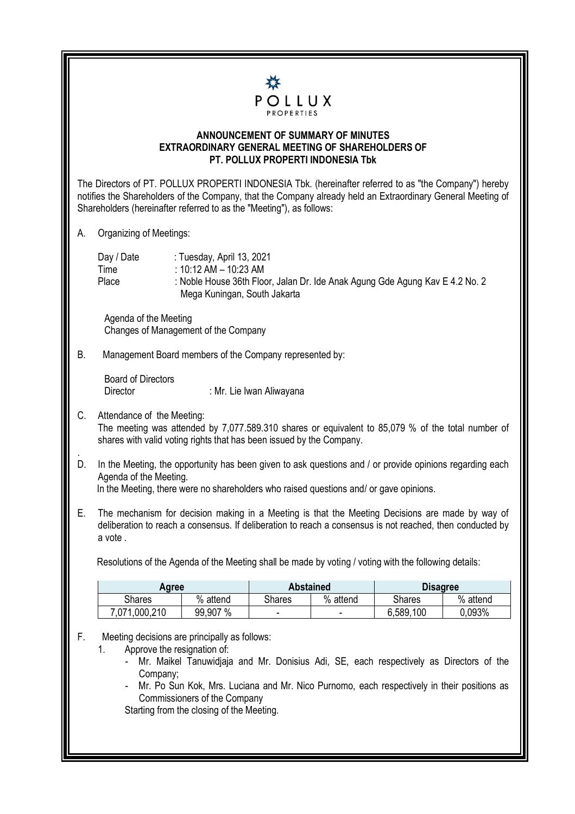

## **ANNOUNCEMENT OF SUMMARY OF MINUTES EXTRAORDINARY GENERAL MEETING OF SHAREHOLDERS OF PT. POLLUX PROPERTI INDONESIA Tbk**

The Directors of PT. POLLUX PROPERTI INDONESIA Tbk. (hereinafter referred to as "the Company") hereby notifies the Shareholders of the Company, that the Company already held an Extraordinary General Meeting of Shareholders (hereinafter referred to as the "Meeting"), as follows:

A. Organizing of Meetings:

Day / Date : Tuesday, April 13, 2021 Time : 10:12 AM – 10:23 AM Place : Noble House 36th Floor, Jalan Dr. Ide Anak Agung Gde Agung Kav E 4.2 No. 2 Mega Kuningan, South Jakarta

 Agenda of the Meeting Changes of Management of the Company

B. Management Board members of the Company represented by:

Board of Directors

Director : Mr. Lie Iwan Aliwayana

C. Attendance of the Meeting:

The meeting was attended by 7,077.589.310 shares or equivalent to 85,079 % of the total number of shares with valid voting rights that has been issued by the Company.

. D. In the Meeting, the opportunity has been given to ask questions and / or provide opinions regarding each Agenda of the Meeting.

In the Meeting, there were no shareholders who raised questions and/ or gave opinions.

E. The mechanism for decision making in a Meeting is that the Meeting Decisions are made by way of deliberation to reach a consensus. If deliberation to reach a consensus is not reached, then conducted by a vote .

Resolutions of the Agenda of the Meeting shall be made by voting / voting with the following details:

| Agree         |          | <b>Abstained</b> |          | <b>Disagree</b> |          |
|---------------|----------|------------------|----------|-----------------|----------|
| Shares        | % attend | Shares           | % attend | <b>Shares</b>   | % attend |
| 7,071,000,210 | 99,907 % |                  | -        | 6,589,100       | 0.093%   |

F. Meeting decisions are principally as follows:

- 1. Approve the resignation of:
	- Mr. Maikel Tanuwidjaja and Mr. Donisius Adi, SE, each respectively as Directors of the Company;
	- Mr. Po Sun Kok, Mrs. Luciana and Mr. Nico Purnomo, each respectively in their positions as Commissioners of the Company

Starting from the closing of the Meeting.